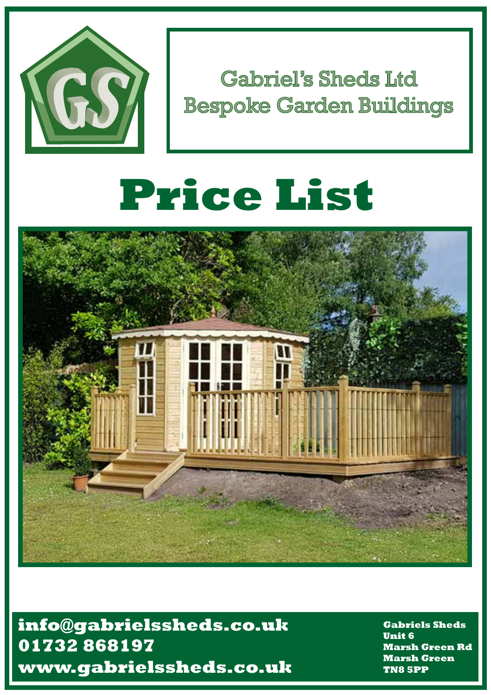

Gabriel's Sheds Ltd **Bespoke Garden Buildings** 

# **Price List**



 **www.gabrielssheds.co.uk info@gabrielssheds.co.uk 01732 868197**

**Gabriels Sheds Unit 6 Marsh Green Rd Marsh Green TN8 5PP**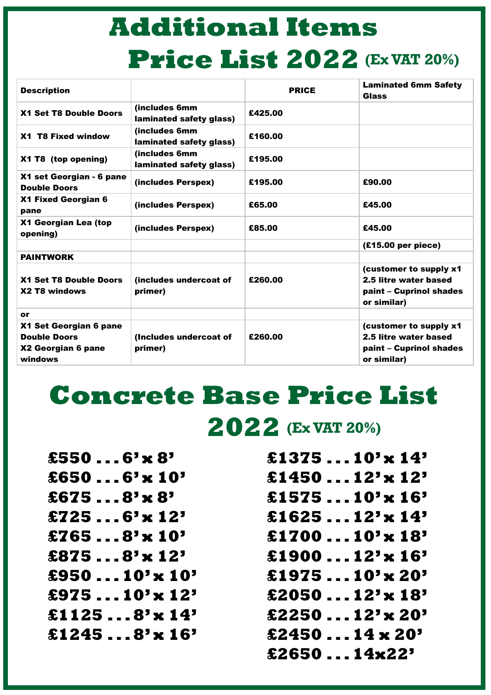## **Additional Items Price List 2022 (Ex VAT 20%)**

| <b>Description</b>                                                             |                                           | <b>PRICE</b> | <b>Laminated 6mm Safety</b><br>Glass                                                       |
|--------------------------------------------------------------------------------|-------------------------------------------|--------------|--------------------------------------------------------------------------------------------|
| X1 Set T8 Double Doors                                                         | (includes 6mm<br>laminated safety glass)  | £425.00      |                                                                                            |
| X1 T8 Fixed window                                                             | (includes 6mm)<br>laminated safety glass) | £160.00      |                                                                                            |
| X1 T8 (top opening)                                                            | (includes 6mm<br>laminated safety glass)  | £195.00      |                                                                                            |
| X1 set Georgian - 6 pane<br><b>Double Doors</b>                                | (includes Perspex)                        | £195.00      | £90.00                                                                                     |
| X1 Fixed Georgian 6<br>pane                                                    | (includes Perspex)                        | £65.00       | £45.00                                                                                     |
| X1 Georgian Lea (top<br>opening)                                               | (includes Perspex)                        | £85.00       | £45.00                                                                                     |
|                                                                                |                                           |              | (£15.00 per piece)                                                                         |
| <b>PAINTWORK</b>                                                               |                                           |              |                                                                                            |
| X1 Set T8 Double Doors<br>X2 T8 windows                                        | (includes undercoat of<br>primer)         | £260.00      | (customer to supply x1<br>2.5 litre water based<br>paint – Cuprinol shades<br>or similar)  |
| or                                                                             |                                           |              |                                                                                            |
| X1 Set Georgian 6 pane<br><b>Double Doors</b><br>X2 Georgian 6 pane<br>windows | (Includes undercoat of<br>primer)         | £260.00      | (customer to supply x1)<br>2.5 litre water based<br>paint – Cuprinol shades<br>or similar) |

## **Concrete Base Price List 2022 (Ex VAT 20%)**

| £5506 <sup>'</sup> $\times$ 8'                                         | £137510' $\times$ 14' |
|------------------------------------------------------------------------|-----------------------|
| £6506 <sup><math>\cdot</math></sup> x 10 <sup><math>\cdot</math></sup> | £145012'x 12'         |
| £6758 <sup>'</sup> $\times$ 8'                                         | £157510'x 16'         |
| £725 $6' \times 12'$                                                   | £162512'x 14'         |
| £7658' $\times$ 10'                                                    | £170010'x 18'         |
| $$8758' \times 12'$                                                    | £190012' $\times$ 16' |
| £95010' $\times$ 10'                                                   | £197510'x 20'         |
| £97510'x 12'                                                           | £205012' $\times$ 18' |
| $$11258' \times 14'$                                                   | £225012' $\times$ 20' |
| $$12458' \times 16'$                                                   | $$245014 \times 20"$  |
|                                                                        | £265014 $x22'$        |
|                                                                        |                       |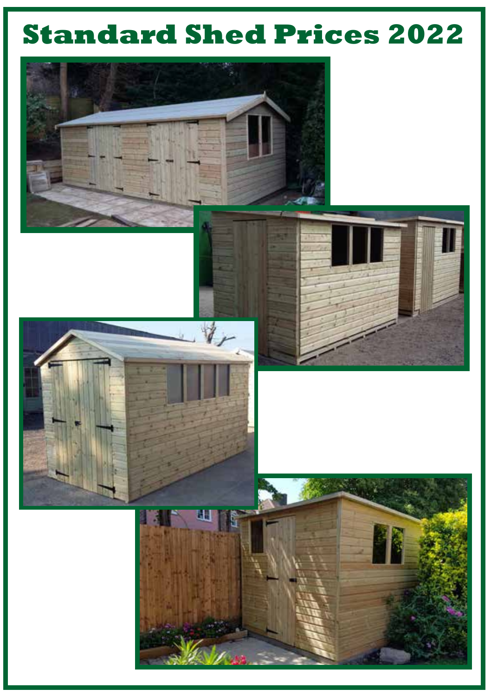## **Standard Shed Prices 2022**

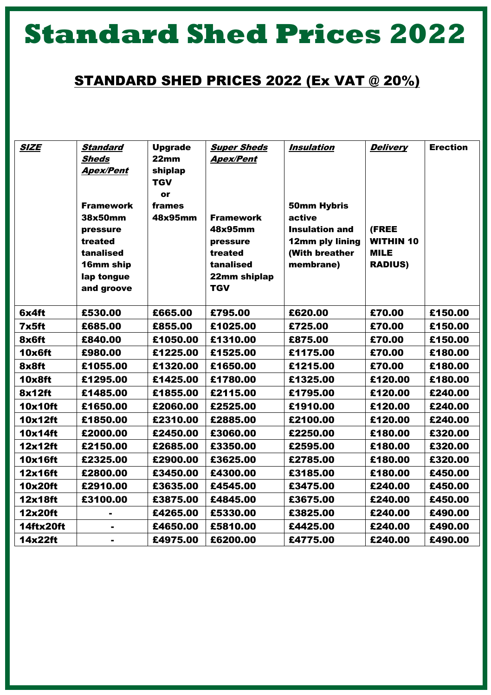## **Standard Shed Prices 2022**

#### STANDARD SHED PRICES 2022 (Ex VAT @ 20%)

| <b>SIZE</b> | <b>Standard</b>          | <b>Upgrade</b>   | <b>Super Sheds</b>         | <b>Insulation</b>     | <b>Delivery</b>  | <b>Erection</b> |
|-------------|--------------------------|------------------|----------------------------|-----------------------|------------------|-----------------|
|             | Sheds                    | 22 <sub>mm</sub> | <b>Apex/Pent</b>           |                       |                  |                 |
|             | <b>Apex/Pent</b>         | shiplap          |                            |                       |                  |                 |
|             |                          | <b>TGV</b>       |                            |                       |                  |                 |
|             |                          | or               |                            |                       |                  |                 |
|             | <b>Framework</b>         | frames           |                            | <b>50mm Hybris</b>    |                  |                 |
|             | 38x50mm                  | 48x95mm          | <b>Framework</b>           | active                |                  |                 |
|             | pressure                 |                  | 48x95mm                    | <b>Insulation and</b> | (FREE            |                 |
|             | treated                  |                  | pressure                   | 12mm ply lining       | <b>WITHIN 10</b> |                 |
|             | tanalised                |                  | treated<br>tanalised       | (With breather        | <b>MILE</b>      |                 |
|             | 16mm ship                |                  |                            | membrane)             | <b>RADIUS)</b>   |                 |
|             | lap tongue<br>and groove |                  | 22mm shiplap<br><b>TGV</b> |                       |                  |                 |
|             |                          |                  |                            |                       |                  |                 |
| 6x4ft       | £530.00                  | £665.00          | £795.00                    | £620.00               | £70.00           | £150.00         |
| 7x5ft       | £685.00                  | £855.00          | £1025.00                   | £725.00               | £70.00           | £150.00         |
| 8x6ft       | £840.00                  | £1050.00         | £1310.00                   | £875.00               | £70.00           | £150.00         |
| 10x6ft      | £980.00                  | £1225.00         | £1525.00                   | £1175.00              | £70.00           | £180.00         |
| 8x8ft       | £1055.00                 | £1320.00         | £1650.00                   | £1215.00              | £70.00           | £180.00         |
| 10x8ft      | £1295.00                 | £1425.00         | £1780.00                   | £1325.00              | £120.00          | £180.00         |
| 8x12ft      | £1485.00                 | £1855.00         | £2115.00                   | £1795.00              | £120.00          | £240.00         |
| 10x10ft     | £1650.00                 | £2060.00         | £2525.00                   | £1910.00              | £120.00          | £240.00         |
| 10x12ft     | £1850.00                 | £2310.00         | £2885.00                   | £2100.00              | £120.00          | £240.00         |
| 10x14ft     | £2000.00                 | £2450.00         | £3060.00                   | £2250.00              | £180.00          | £320.00         |
| 12x12ft     | £2150.00                 | £2685.00         | £3350.00                   | £2595.00              | £180.00          | £320.00         |
| 10x16ft     | £2325.00                 | £2900.00         | £3625.00                   | £2785.00              | £180.00          | £320.00         |
| 12x16ft     | £2800.00                 | £3450.00         | £4300.00                   | £3185.00              | £180.00          | £450.00         |
| 10x20ft     | £2910.00                 | £3635.00         | £4545.00                   | £3475.00              | £240.00          | £450.00         |
| 12x18ft     | £3100.00                 | £3875.00         | £4845.00                   | £3675.00              | £240.00          | £450.00         |
| 12x20ft     |                          | £4265.00         | £5330.00                   | £3825.00              | £240.00          | £490.00         |
| 14ftx20ft   |                          | £4650.00         | £5810.00                   | £4425.00              | £240.00          | £490.00         |
| 14x22ft     | ۰                        | £4975.00         | £6200.00                   | £4775.00              | £240.00          | £490.00         |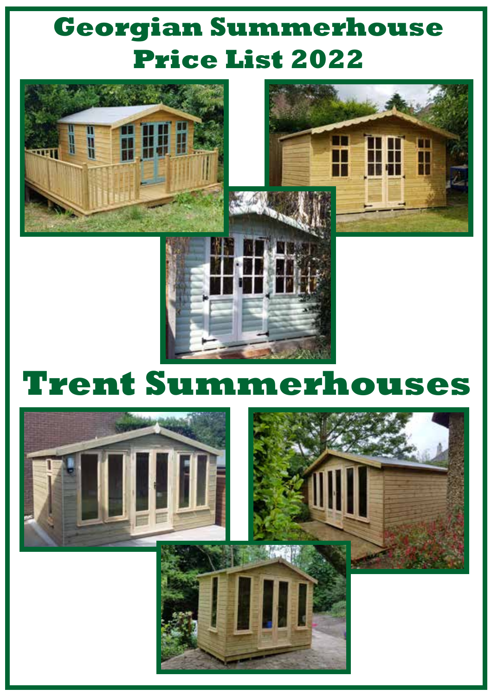### **Georgian Summerhouse Price List 2022**





## **Trent Summerhouses**



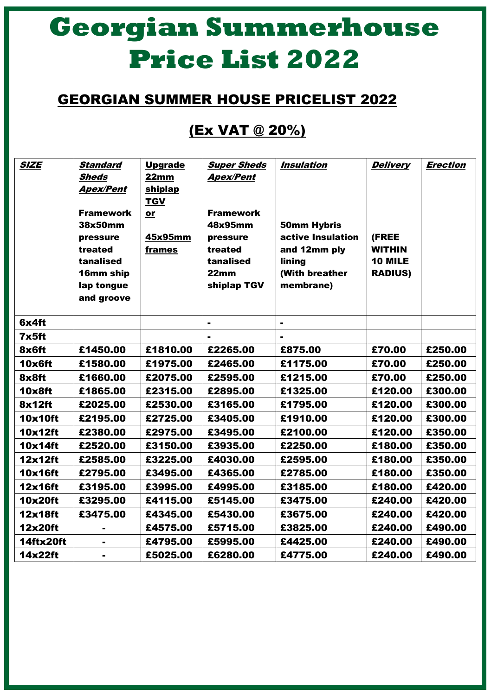## **Georgian Summerhouse Price List 2022**

### GEORGIAN SUMMER HOUSE PRICELIST 2022

### (Ex VAT @ 20%)

| <b>SIZE</b>    | Standard<br>Sheds<br><b>Apex/Pent</b><br><b>Framework</b><br>38x50mm<br>pressure<br>treated<br>tanalised<br>16mm ship<br>lap tongue<br>and groove | <b>Upgrade</b><br>22mm<br>shiplap<br>TGV<br>or<br>45x95mm<br>frames | <b>Super Sheds</b><br><b>Apex/Pent</b><br><b>Framework</b><br>48x95mm<br>pressure<br>treated<br>tanalised<br>22 <sub>mm</sub><br>shiplap TGV | Insulation<br><b>50mm Hybris</b><br>active Insulation<br>and 12mm ply<br>lining<br>(With breather<br>membrane) | <b>Delivery</b><br>(FREE<br><b>WITHIN</b><br>10 MILE<br><b>RADIUS)</b> | <b>Erection</b> |
|----------------|---------------------------------------------------------------------------------------------------------------------------------------------------|---------------------------------------------------------------------|----------------------------------------------------------------------------------------------------------------------------------------------|----------------------------------------------------------------------------------------------------------------|------------------------------------------------------------------------|-----------------|
| 6x4ft          |                                                                                                                                                   |                                                                     | $\blacksquare$                                                                                                                               | $\blacksquare$                                                                                                 |                                                                        |                 |
| $7\times 5$ ft |                                                                                                                                                   |                                                                     |                                                                                                                                              |                                                                                                                |                                                                        |                 |
| 8x6ft          | £1450.00                                                                                                                                          | £1810.00                                                            | £2265.00                                                                                                                                     | £875.00                                                                                                        | £70.00                                                                 | £250.00         |
| 10x6ft         | £1580.00                                                                                                                                          | £1975.00                                                            | £2465.00                                                                                                                                     | £1175.00                                                                                                       | £70.00                                                                 | £250.00         |
| 8x8ft          | £1660.00                                                                                                                                          | £2075.00                                                            | £2595.00                                                                                                                                     | £1215.00                                                                                                       | £70.00                                                                 | £250.00         |
| 10x8ft         | £1865.00                                                                                                                                          | £2315.00                                                            | £2895.00                                                                                                                                     | £1325.00                                                                                                       | £120.00                                                                | £300.00         |
| 8x12ft         | £2025.00                                                                                                                                          | £2530.00                                                            | £3165.00                                                                                                                                     | £1795.00                                                                                                       | £120.00                                                                | £300.00         |
| 10x10ft        | £2195.00                                                                                                                                          | £2725.00                                                            | £3405.00                                                                                                                                     | £1910.00                                                                                                       | £120.00                                                                | £300.00         |
| 10x12ft        | £2380.00                                                                                                                                          | £2975.00                                                            | £3495.00                                                                                                                                     | £2100.00                                                                                                       | £120.00                                                                | £350.00         |
| 10x14ft        | £2520.00                                                                                                                                          | £3150.00                                                            | £3935.00                                                                                                                                     | £2250.00                                                                                                       | £180.00                                                                | £350.00         |
| 12x12ft        | £2585.00                                                                                                                                          | £3225.00                                                            | £4030.00                                                                                                                                     | £2595.00                                                                                                       | £180.00                                                                | £350.00         |
| 10x16ft        | £2795.00                                                                                                                                          | £3495.00                                                            | £4365.00                                                                                                                                     | £2785.00                                                                                                       | £180.00                                                                | £350.00         |
| 12x16ft        | £3195.00                                                                                                                                          | £3995.00                                                            | £4995.00                                                                                                                                     | £3185.00                                                                                                       | £180.00                                                                | £420.00         |
| 10x20ft        | £3295.00                                                                                                                                          | £4115.00                                                            | £5145.00                                                                                                                                     | £3475.00                                                                                                       | £240.00                                                                | £420.00         |
| 12x18ft        | £3475.00                                                                                                                                          | £4345.00                                                            | £5430.00                                                                                                                                     | £3675.00                                                                                                       | £240.00                                                                | £420.00         |
| 12x20ft        | $\blacksquare$                                                                                                                                    | £4575.00                                                            | £5715.00                                                                                                                                     | £3825.00                                                                                                       | £240.00                                                                | £490.00         |
| 14ftx20ft      |                                                                                                                                                   | £4795.00                                                            | £5995.00                                                                                                                                     | £4425.00                                                                                                       | £240.00                                                                | £490.00         |
| 14x22ft        | ۰.                                                                                                                                                | £5025.00                                                            | £6280.00                                                                                                                                     | £4775.00                                                                                                       | £240.00                                                                | £490.00         |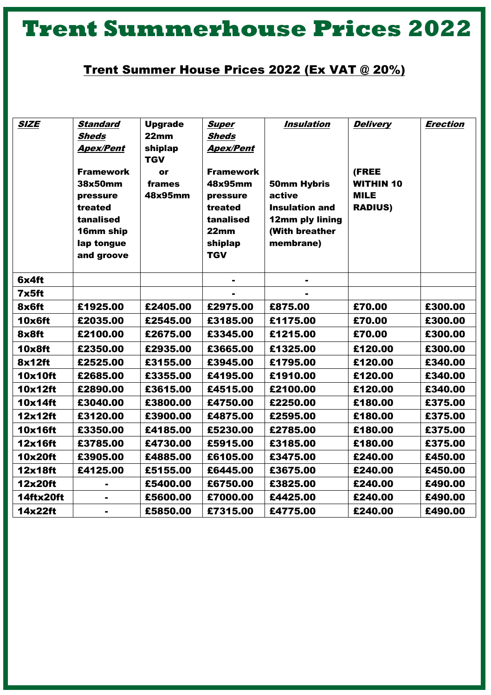### **Trent Summerhouse Prices 2022**

#### Trent Summer House Prices 2022 (Ex VAT @ 20%)

| <b>SIZE</b>   | Standard<br>Sheds<br><b>Apex/Pent</b><br><b>Framework</b><br>38x50mm<br>pressure<br>treated<br>tanalised<br>16mm ship<br>lap tongue<br>and groove | <b>Upgrade</b><br>22mm<br>shiplap<br><b>TGV</b><br>or<br>frames<br>48x95mm | <b>Super</b><br>Sheds<br><b>Apex/Pent</b><br><b>Framework</b><br>48x95mm<br>pressure<br>treated<br>tanalised<br>22 <sub>mm</sub><br>shiplap<br><b>TGV</b> | <i><b>Insulation</b></i><br>50mm Hybris<br>active<br><b>Insulation and</b><br>12mm ply lining<br>(With breather<br>membrane) | <b>Delivery</b><br>(FREE<br><b>WITHIN 10</b><br><b>MILE</b><br><b>RADIUS)</b> | <b>Erection</b> |
|---------------|---------------------------------------------------------------------------------------------------------------------------------------------------|----------------------------------------------------------------------------|-----------------------------------------------------------------------------------------------------------------------------------------------------------|------------------------------------------------------------------------------------------------------------------------------|-------------------------------------------------------------------------------|-----------------|
| 6x4ft         |                                                                                                                                                   |                                                                            | ۰                                                                                                                                                         | $\blacksquare$                                                                                                               |                                                                               |                 |
| 7x5ft         |                                                                                                                                                   |                                                                            |                                                                                                                                                           |                                                                                                                              |                                                                               |                 |
| 8x6ft         | £1925.00                                                                                                                                          | £2405.00                                                                   | £2975.00                                                                                                                                                  | £875.00                                                                                                                      | £70.00                                                                        | £300.00         |
| 10x6ft        | £2035.00                                                                                                                                          | £2545.00                                                                   | £3185.00                                                                                                                                                  | £1175.00                                                                                                                     | £70.00                                                                        | £300.00         |
| 8x8ft         | £2100.00                                                                                                                                          | £2675.00                                                                   | £3345.00                                                                                                                                                  | £1215.00                                                                                                                     | £70.00                                                                        | £300.00         |
| <b>10x8ft</b> | £2350.00                                                                                                                                          | £2935.00                                                                   | £3665.00                                                                                                                                                  | £1325.00                                                                                                                     | £120.00                                                                       | £300.00         |
| 8x12ft        | £2525.00                                                                                                                                          | £3155.00                                                                   | £3945.00                                                                                                                                                  | £1795.00                                                                                                                     | £120.00                                                                       | £340.00         |
| 10x10ft       | £2685.00                                                                                                                                          | £3355.00                                                                   | £4195.00                                                                                                                                                  | £1910.00                                                                                                                     | £120.00                                                                       | £340.00         |
| 10x12ft       | £2890.00                                                                                                                                          | £3615.00                                                                   | £4515.00                                                                                                                                                  | £2100.00                                                                                                                     | £120.00                                                                       | £340.00         |
| 10x14ft       | £3040.00                                                                                                                                          | £3800.00                                                                   | £4750.00                                                                                                                                                  | £2250.00                                                                                                                     | £180.00                                                                       | £375.00         |
| 12x12ft       | £3120.00                                                                                                                                          | £3900.00                                                                   | £4875.00                                                                                                                                                  | £2595.00                                                                                                                     | £180.00                                                                       | £375.00         |
| 10x16ft       | £3350.00                                                                                                                                          | £4185.00                                                                   | £5230.00                                                                                                                                                  | £2785.00                                                                                                                     | £180.00                                                                       | £375.00         |
| 12x16ft       | £3785.00                                                                                                                                          | £4730.00                                                                   | £5915.00                                                                                                                                                  | £3185.00                                                                                                                     | £180.00                                                                       | £375.00         |
| 10x20ft       | £3905.00                                                                                                                                          | £4885.00                                                                   | £6105.00                                                                                                                                                  | £3475.00                                                                                                                     | £240.00                                                                       | £450.00         |
| 12x18ft       | £4125.00                                                                                                                                          | £5155.00                                                                   | £6445.00                                                                                                                                                  | £3675.00                                                                                                                     | £240.00                                                                       | £450.00         |
| 12x20ft       |                                                                                                                                                   | £5400.00                                                                   | £6750.00                                                                                                                                                  | £3825.00                                                                                                                     | £240.00                                                                       | £490.00         |
| 14ftx20ft     |                                                                                                                                                   | £5600.00                                                                   | £7000.00                                                                                                                                                  | £4425.00                                                                                                                     | £240.00                                                                       | £490.00         |
| 14x22ft       | ۰                                                                                                                                                 | £5850.00                                                                   | £7315.00                                                                                                                                                  | £4775.00                                                                                                                     | £240.00                                                                       | £490.00         |